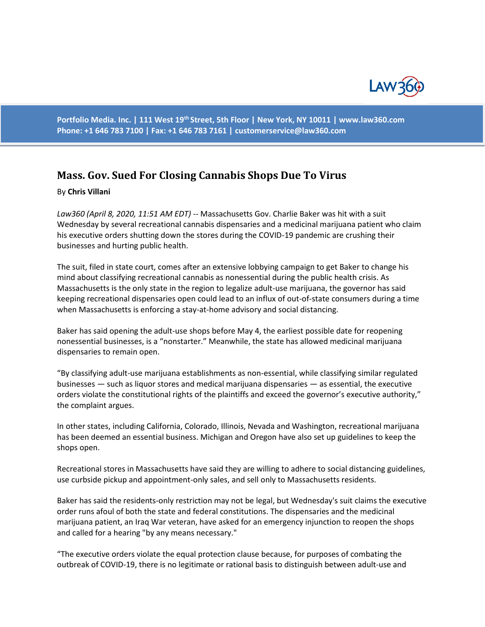

**Portfolio Media. Inc. | 111 West 19th Street, 5th Floor | New York, NY 10011 | www.law360.com Phone: +1 646 783 7100 | Fax: +1 646 783 7161 | customerservice@law360.com**

## **Mass. Gov. Sued For Closing Cannabis Shops Due To Virus**

## By **Chris Villani**

*Law360 (April 8, 2020, 11:51 AM EDT)* -- Massachusetts Gov. Charlie Baker was hit with a suit Wednesday by several recreational cannabis dispensaries and a medicinal marijuana patient who claim his executive orders shutting down the stores during the COVID-19 pandemic are crushing their businesses and hurting public health.

The suit, filed in state court, comes after an extensive lobbying campaign to get Baker to change his mind about classifying recreational cannabis as nonessential during the public health crisis. As Massachusetts is the only state in the region to legalize adult-use marijuana, the governor has said keeping recreational dispensaries open could lead to an influx of out-of-state consumers during a time when Massachusetts is enforcing a stay-at-home advisory and social distancing.

Baker has said opening the adult-use shops before May 4, the earliest possible date for reopening nonessential businesses, is a "nonstarter." Meanwhile, the state has allowed medicinal marijuana dispensaries to remain open.

"By classifying adult-use marijuana establishments as non-essential, while classifying similar regulated businesses — such as liquor stores and medical marijuana dispensaries — as essential, the executive orders violate the constitutional rights of the plaintiffs and exceed the governor's executive authority," the complaint argues.

In other states, including California, Colorado, Illinois, Nevada and Washington, recreational marijuana has been deemed an essential business. Michigan and Oregon have also set up guidelines to keep the shops open.

Recreational stores in Massachusetts have said they are willing to adhere to social distancing guidelines, use curbside pickup and appointment-only sales, and sell only to Massachusetts residents.

Baker has said the residents-only restriction may not be legal, but Wednesday's suit claims the executive order runs afoul of both the state and federal constitutions. The dispensaries and the medicinal marijuana patient, an Iraq War veteran, have asked for an emergency injunction to reopen the shops and called for a hearing "by any means necessary."

"The executive orders violate the equal protection clause because, for purposes of combating the outbreak of COVID-19, there is no legitimate or rational basis to distinguish between adult-use and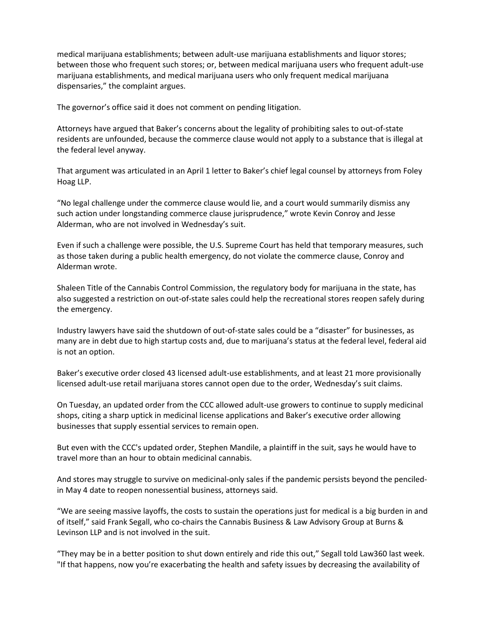medical marijuana establishments; between adult-use marijuana establishments and liquor stores; between those who frequent such stores; or, between medical marijuana users who frequent adult-use marijuana establishments, and medical marijuana users who only frequent medical marijuana dispensaries," the complaint argues.

The governor's office said it does not comment on pending litigation.

Attorneys have argued that Baker's concerns about the legality of prohibiting sales to out-of-state residents are unfounded, because the commerce clause would not apply to a substance that is illegal at the federal level anyway.

That argument was articulated in an April 1 letter to Baker's chief legal counsel by attorneys from Foley Hoag LLP.

"No legal challenge under the commerce clause would lie, and a court would summarily dismiss any such action under longstanding commerce clause jurisprudence," wrote Kevin Conroy and Jesse Alderman, who are not involved in Wednesday's suit.

Even if such a challenge were possible, the U.S. Supreme Court has held that temporary measures, such as those taken during a public health emergency, do not violate the commerce clause, Conroy and Alderman wrote.

Shaleen Title of the Cannabis Control Commission, the regulatory body for marijuana in the state, has also suggested a restriction on out-of-state sales could help the recreational stores reopen safely during the emergency.

Industry lawyers have said the shutdown of out-of-state sales could be a "disaster" for businesses, as many are in debt due to high startup costs and, due to marijuana's status at the federal level, federal aid is not an option.

Baker's executive order closed 43 licensed adult-use establishments, and at least 21 more provisionally licensed adult-use retail marijuana stores cannot open due to the order, Wednesday's suit claims.

On Tuesday, an updated order from the CCC allowed adult-use growers to continue to supply medicinal shops, citing a sharp uptick in medicinal license applications and Baker's executive order allowing businesses that supply essential services to remain open.

But even with the CCC's updated order, Stephen Mandile, a plaintiff in the suit, says he would have to travel more than an hour to obtain medicinal cannabis.

And stores may struggle to survive on medicinal-only sales if the pandemic persists beyond the penciledin May 4 date to reopen nonessential business, attorneys said.

"We are seeing massive layoffs, the costs to sustain the operations just for medical is a big burden in and of itself," said Frank Segall, who co-chairs the Cannabis Business & Law Advisory Group at Burns & Levinson LLP and is not involved in the suit.

"They may be in a better position to shut down entirely and ride this out," Segall told Law360 last week. "If that happens, now you're exacerbating the health and safety issues by decreasing the availability of